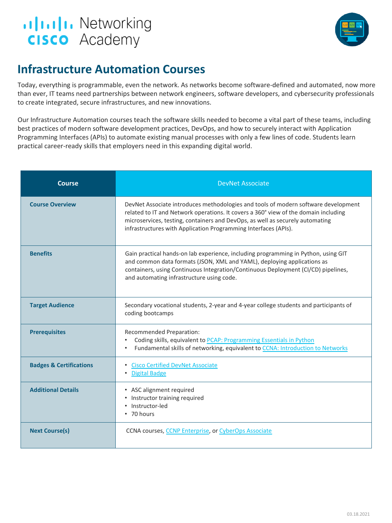



## **Infrastructure Automation Courses**

Today, everything is programmable, even the network. As networks become software-defined and automated, now more than ever, IT teams need partnerships between network engineers, software developers, and cybersecurity professionals to create integrated, secure infrastructures, and new innovations.

Our Infrastructure Automation courses teach the software skills needed to become a vital part of these teams, including best practices of modern software development practices, DevOps, and how to securely interact with Application Programming Interfaces (APIs) to automate existing manual processes with only a few lines of code. Students learn practical career-ready skills that employers need in this expanding digital world.

| Course                             | <b>DevNet Associate</b>                                                                                                                                                                                                                                                                                                       |
|------------------------------------|-------------------------------------------------------------------------------------------------------------------------------------------------------------------------------------------------------------------------------------------------------------------------------------------------------------------------------|
| <b>Course Overview</b>             | DevNet Associate introduces methodologies and tools of modern software development<br>related to IT and Network operations. It covers a 360° view of the domain including<br>microservices, testing, containers and DevOps, as well as securely automating<br>infrastructures with Application Programming Interfaces (APIs). |
| <b>Benefits</b>                    | Gain practical hands-on lab experience, including programming in Python, using GIT<br>and common data formats (JSON, XML and YAML), deploying applications as<br>containers, using Continuous Integration/Continuous Deployment (CI/CD) pipelines,<br>and automating infrastructure using code.                               |
| <b>Target Audience</b>             | Secondary vocational students, 2-year and 4-year college students and participants of<br>coding bootcamps                                                                                                                                                                                                                     |
| <b>Prerequisites</b>               | Recommended Preparation:<br>Coding skills, equivalent to PCAP: Programming Essentials in Python<br>$\bullet$<br>Fundamental skills of networking, equivalent to CCNA: Introduction to Networks                                                                                                                                |
| <b>Badges &amp; Certifications</b> | <b>Cisco Certified DevNet Associate</b><br><b>Digital Badge</b>                                                                                                                                                                                                                                                               |
| <b>Additional Details</b>          | • ASC alignment required<br>• Instructor training required<br>• Instructor-led<br>• 70 hours                                                                                                                                                                                                                                  |
| <b>Next Course(s)</b>              | CCNA courses, CCNP Enterprise, or CyberOps Associate                                                                                                                                                                                                                                                                          |